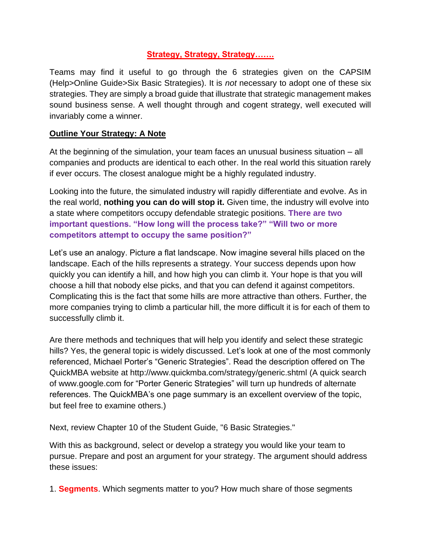## **Strategy, Strategy, Strategy…….**

Teams may find it useful to go through the 6 strategies given on the CAPSIM (Help>Online Guide>Six Basic Strategies). It is *not* necessary to adopt one of these six strategies. They are simply a broad guide that illustrate that strategic management makes sound business sense. A well thought through and cogent strategy, well executed will invariably come a winner.

## **Outline Your Strategy: A Note**

At the beginning of the simulation, your team faces an unusual business situation – all companies and products are identical to each other. In the real world this situation rarely if ever occurs. The closest analogue might be a highly regulated industry.

Looking into the future, the simulated industry will rapidly differentiate and evolve. As in the real world, **nothing you can do will stop it.** Given time, the industry will evolve into a state where competitors occupy defendable strategic positions. **There are two important questions. "How long will the process take?" "Will two or more competitors attempt to occupy the same position?"**

Let's use an analogy. Picture a flat landscape. Now imagine several hills placed on the landscape. Each of the hills represents a strategy. Your success depends upon how quickly you can identify a hill, and how high you can climb it. Your hope is that you will choose a hill that nobody else picks, and that you can defend it against competitors. Complicating this is the fact that some hills are more attractive than others. Further, the more companies trying to climb a particular hill, the more difficult it is for each of them to successfully climb it.

Are there methods and techniques that will help you identify and select these strategic hills? Yes, the general topic is widely discussed. Let's look at one of the most commonly referenced, Michael Porter's "Generic Strategies". Read the description offered on The QuickMBA website at http://www.quickmba.com/strategy/generic.shtml (A quick search of www.google.com for "Porter Generic Strategies" will turn up hundreds of alternate references. The QuickMBA's one page summary is an excellent overview of the topic, but feel free to examine others.)

Next, review Chapter 10 of the Student Guide, "6 Basic Strategies."

With this as background, select or develop a strategy you would like your team to pursue. Prepare and post an argument for your strategy. The argument should address these issues:

1. **Segments**. Which segments matter to you? How much share of those segments